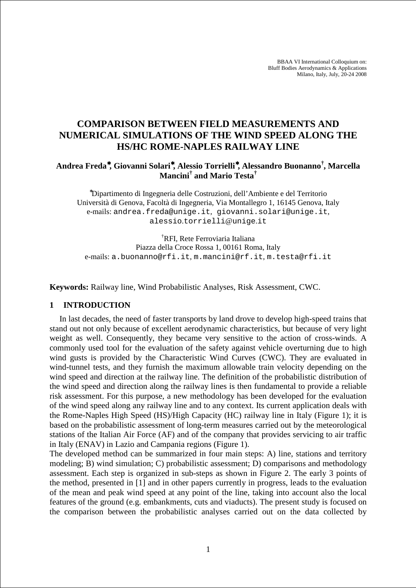BBAA VI International Colloquium on: Bluff Bodies Aerodynamics & Applications Milano, Italy, July, 20-24 2008

# **COMPARISON BETWEEN FIELD MEASUREMENTS AND NUMERICAL SIMULATIONS OF THE WIND SPEED ALONG THE HS/HC ROME-NAPLES RAILWAY LINE**

## **Andrea Freda**<sup>∗</sup>**, Giovanni Solari**<sup>∗</sup>**, Alessio Torrielli**<sup>∗</sup>**, Alessandro Buonanno† , Marcella Mancini† and Mario Testa†**

<sup>∗</sup>Dipartimento di Ingegneria delle Costruzioni, dell'Ambiente e del Territorio Università di Genova, Facoltà di Ingegneria, Via Montallegro 1, 16145 Genova, Italy e-mails: andrea.freda@unige.it, giovanni.solari@unige.it, alessio.torrielli@unige.it

†RFI, Rete Ferroviaria Italiana Piazza della Croce Rossa 1, 00161 Roma, Italy e-mails: a.buonanno@rfi.it, m.mancini@rf.it, m.testa@rfi.it

**Keywords:** Railway line, Wind Probabilistic Analyses, Risk Assessment, CWC.

#### **1 INTRODUCTION**

In last decades, the need of faster transports by land drove to develop high-speed trains that stand out not only because of excellent aerodynamic characteristics, but because of very light weight as well. Consequently, they became very sensitive to the action of cross-winds. A commonly used tool for the evaluation of the safety against vehicle overturning due to high wind gusts is provided by the Characteristic Wind Curves (CWC). They are evaluated in wind-tunnel tests, and they furnish the maximum allowable train velocity depending on the wind speed and direction at the railway line. The definition of the probabilistic distribution of the wind speed and direction along the railway lines is then fundamental to provide a reliable risk assessment. For this purpose, a new methodology has been developed for the evaluation of the wind speed along any railway line and to any context. Its current application deals with the Rome-Naples High Speed (HS)/High Capacity (HC) railway line in Italy (Figure 1); it is based on the probabilistic assessment of long-term measures carried out by the meteorological stations of the Italian Air Force (AF) and of the company that provides servicing to air traffic in Italy (ENAV) in Lazio and Campania regions (Figure 1).

The developed method can be summarized in four main steps: A) line, stations and territory modeling; B) wind simulation; C) probabilistic assessment; D) comparisons and methodology assessment. Each step is organized in sub-steps as shown in Figure 2. The early 3 points of the method, presented in [1] and in other papers currently in progress, leads to the evaluation of the mean and peak wind speed at any point of the line, taking into account also the local features of the ground (e.g. embankments, cuts and viaducts). The present study is focused on the comparison between the probabilistic analyses carried out on the data collected by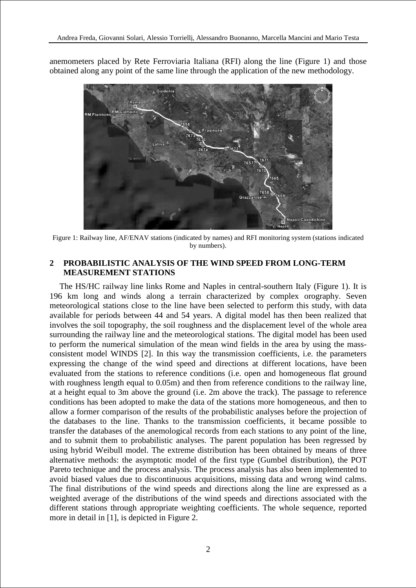anemometers placed by Rete Ferroviaria Italiana (RFI) along the line (Figure 1) and those obtained along any point of the same line through the application of the new methodology.



Figure 1: Railway line, AF/ENAV stations (indicated by names) and RFI monitoring system (stations indicated by numbers).

#### **2 PROBABILISTIC ANALYSIS OF THE WIND SPEED FROM LONG-TERM MEASUREMENT STATIONS**

The HS/HC railway line links Rome and Naples in central-southern Italy (Figure 1). It is 196 km long and winds along a terrain characterized by complex orography. Seven meteorological stations close to the line have been selected to perform this study, with data available for periods between 44 and 54 years. A digital model has then been realized that involves the soil topography, the soil roughness and the displacement level of the whole area surrounding the railway line and the meteorological stations. The digital model has been used to perform the numerical simulation of the mean wind fields in the area by using the massconsistent model WINDS [2]. In this way the transmission coefficients, i.e. the parameters expressing the change of the wind speed and directions at different locations, have been evaluated from the stations to reference conditions (i.e. open and homogeneous flat ground with roughness length equal to 0.05m) and then from reference conditions to the railway line, at a height equal to 3m above the ground (i.e. 2m above the track). The passage to reference conditions has been adopted to make the data of the stations more homogeneous, and then to allow a former comparison of the results of the probabilistic analyses before the projection of the databases to the line. Thanks to the transmission coefficients, it became possible to transfer the databases of the anemological records from each stations to any point of the line, and to submit them to probabilistic analyses. The parent population has been regressed by using hybrid Weibull model. The extreme distribution has been obtained by means of three alternative methods: the asymptotic model of the first type (Gumbel distribution), the POT Pareto technique and the process analysis. The process analysis has also been implemented to avoid biased values due to discontinuous acquisitions, missing data and wrong wind calms. The final distributions of the wind speeds and directions along the line are expressed as a weighted average of the distributions of the wind speeds and directions associated with the different stations through appropriate weighting coefficients. The whole sequence, reported more in detail in [1], is depicted in Figure 2.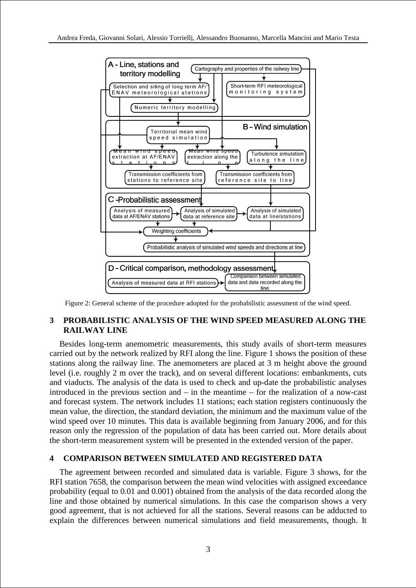

Figure 2: General scheme of the procedure adopted for the probabilistic assessment of the wind speed.

## **3 PROBABILISTIC ANALYSIS OF THE WIND SPEED MEASURED ALONG THE RAILWAY LINE**

Besides long-term anemometric measurements, this study avails of short-term measures carried out by the network realized by RFI along the line. Figure 1 shows the position of these stations along the railway line. The anemometers are placed at 3 m height above the ground level (i.e. roughly 2 m over the track), and on several different locations: embankments, cuts and viaducts. The analysis of the data is used to check and up-date the probabilistic analyses introduced in the previous section and – in the meantime – for the realization of a now-cast and forecast system. The network includes 11 stations; each station registers continuously the mean value, the direction, the standard deviation, the minimum and the maximum value of the wind speed over 10 minutes. This data is available beginning from January 2006, and for this reason only the regression of the population of data has been carried out. More details about the short-term measurement system will be presented in the extended version of the paper.

## **4 COMPARISON BETWEEN SIMULATED AND REGISTERED DATA**

The agreement between recorded and simulated data is variable. Figure 3 shows, for the RFI station 7658, the comparison between the mean wind velocities with assigned exceedance probability (equal to 0.01 and 0.001) obtained from the analysis of the data recorded along the line and those obtained by numerical simulations. In this case the comparison shows a very good agreement, that is not achieved for all the stations. Several reasons can be adducted to explain the differences between numerical simulations and field measurements, though. It